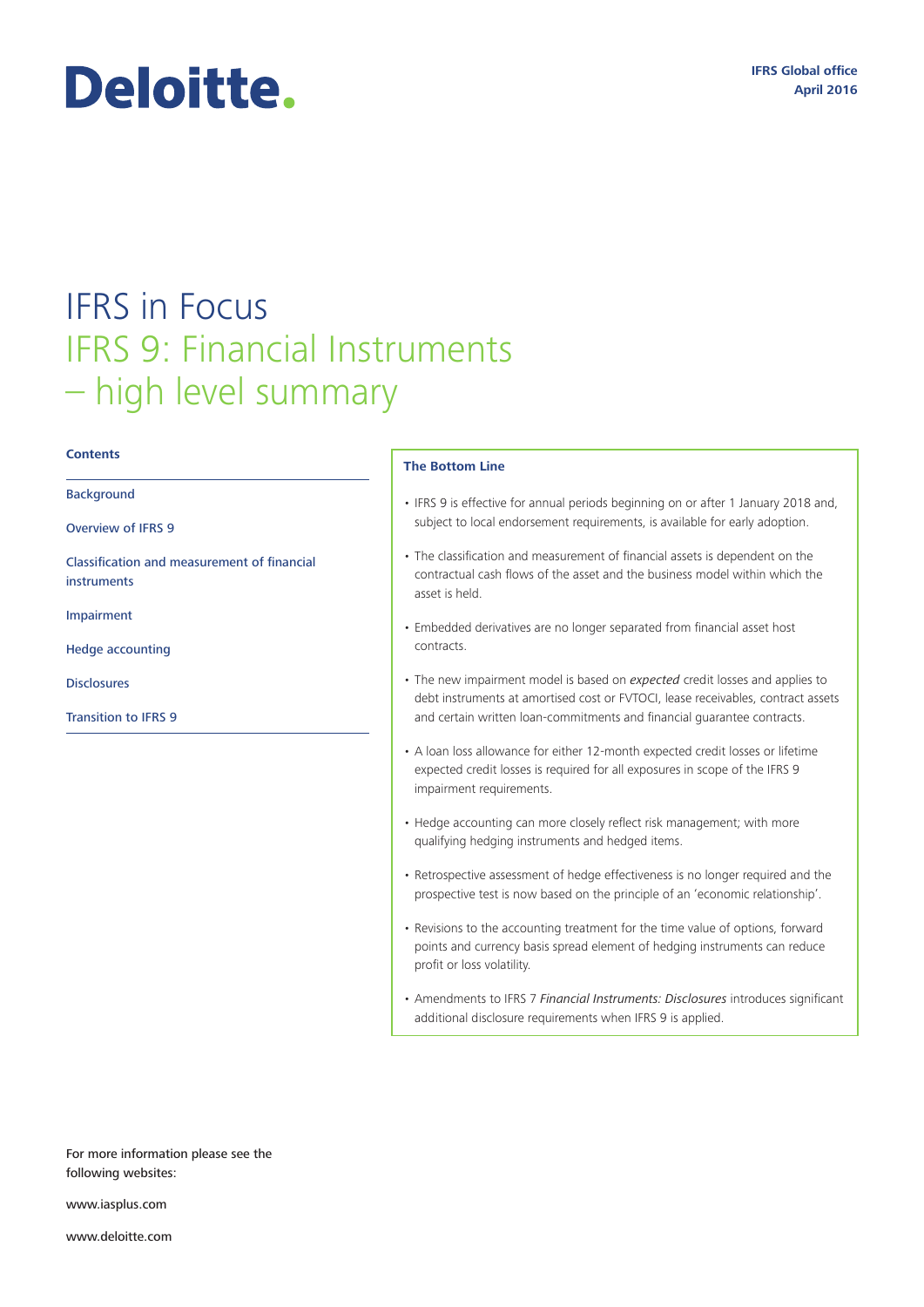# Deloitte.

# IFRS in Focus IFRS 9: Financial Instruments – high level summary

#### **Contents**

Background

Overview of IFRS 9

Classification and measurement of financial instruments

Impairment

Hedge accounting

**Disclosures** 

Transition to IFRS 9

#### **The Bottom Line**

- IFRS 9 is effective for annual periods beginning on or after 1 January 2018 and, subject to local endorsement requirements, is available for early adoption.
- The classification and measurement of financial assets is dependent on the contractual cash flows of the asset and the business model within which the asset is held.
- Embedded derivatives are no longer separated from financial asset host contracts.
- The new impairment model is based on *expected* credit losses and applies to debt instruments at amortised cost or FVTOCI, lease receivables, contract assets and certain written loan-commitments and financial guarantee contracts.
- A loan loss allowance for either 12-month expected credit losses or lifetime expected credit losses is required for all exposures in scope of the IFRS 9 impairment requirements.
- Hedge accounting can more closely reflect risk management; with more qualifying hedging instruments and hedged items.
- Retrospective assessment of hedge effectiveness is no longer required and the prospective test is now based on the principle of an 'economic relationship'.
- Revisions to the accounting treatment for the time value of options, forward points and currency basis spread element of hedging instruments can reduce profit or loss volatility.
- Amendments to IFRS 7 *Financial Instruments: Disclosures* introduces significant additional disclosure requirements when IFRS 9 is applied.

For more information please see the following websites:

<www.iasplus.com>

<www.deloitte.com>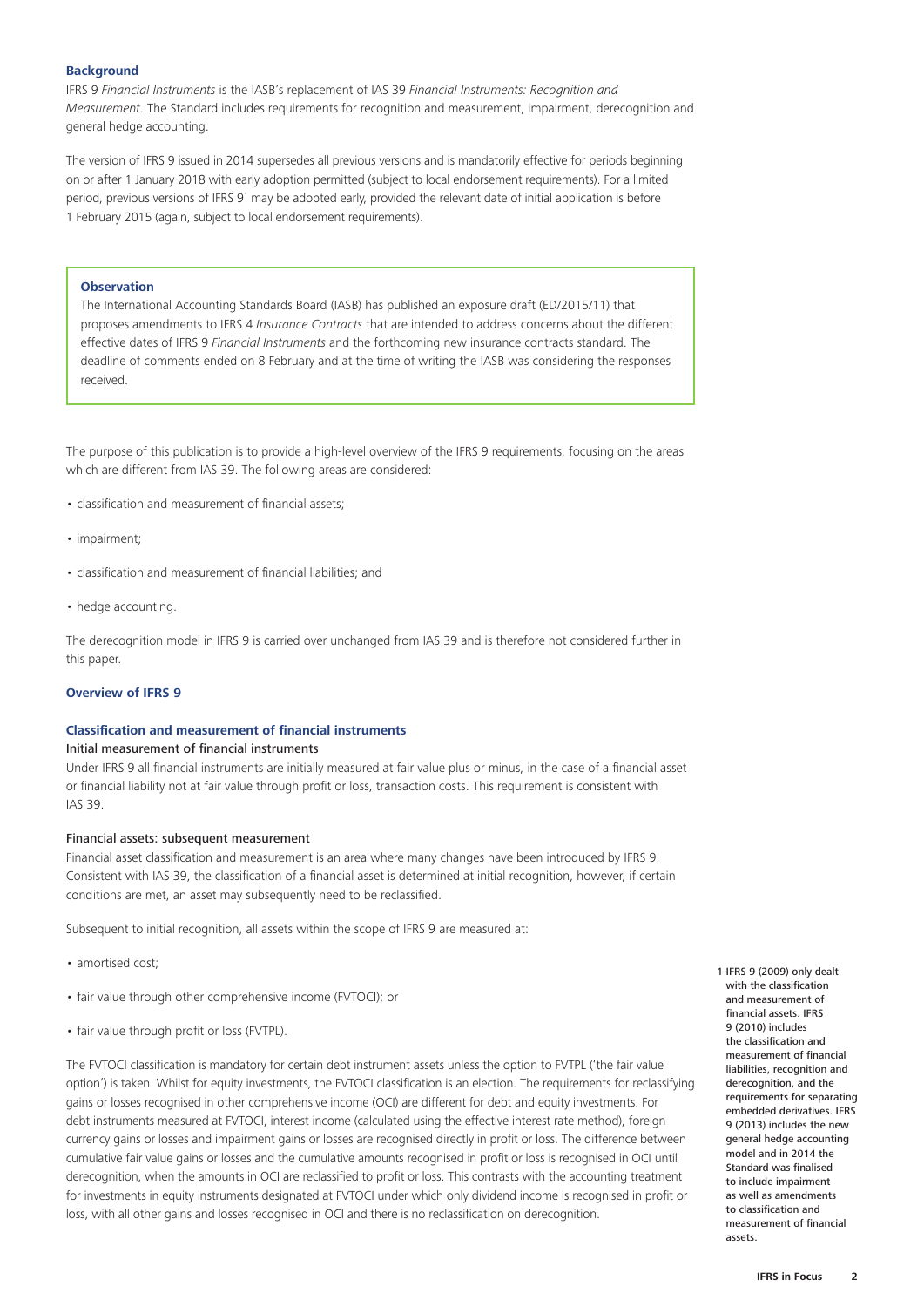### **Background**

IFRS 9 *Financial Instruments* is the IASB's replacement of IAS 39 *Financial Instruments: Recognition and Measurement*. The Standard includes requirements for recognition and measurement, impairment, derecognition and general hedge accounting.

The version of IFRS 9 issued in 2014 supersedes all previous versions and is mandatorily effective for periods beginning on or after 1 January 2018 with early adoption permitted (subject to local endorsement requirements). For a limited period, previous versions of IFRS 9<sup>1</sup> may be adopted early, provided the relevant date of initial application is before 1 February 2015 (again, subject to local endorsement requirements).

#### **Observation**

The International Accounting Standards Board (IASB) has published an exposure draft (ED/2015/11) that proposes amendments to IFRS 4 *Insurance Contracts* that are intended to address concerns about the different effective dates of IFRS 9 *Financial Instruments* and the forthcoming new insurance contracts standard. The deadline of comments ended on 8 February and at the time of writing the IASB was considering the responses received.

The purpose of this publication is to provide a high-level overview of the IFRS 9 requirements, focusing on the areas which are different from IAS 39. The following areas are considered:

- classification and measurement of financial assets;
- impairment;
- classification and measurement of financial liabilities; and
- hedge accounting.

The derecognition model in IFRS 9 is carried over unchanged from IAS 39 and is therefore not considered further in this paper.

# **Overview of IFRS 9**

# **Classification and measurement of financial instruments**

#### Initial measurement of financial instruments

Under IFRS 9 all financial instruments are initially measured at fair value plus or minus, in the case of a financial asset or financial liability not at fair value through profit or loss, transaction costs. This requirement is consistent with IAS 39.

#### Financial assets: subsequent measurement

Financial asset classification and measurement is an area where many changes have been introduced by IFRS 9. Consistent with IAS 39, the classification of a financial asset is determined at initial recognition, however, if certain conditions are met, an asset may subsequently need to be reclassified.

Subsequent to initial recognition, all assets within the scope of IFRS 9 are measured at:

- amortised cost:
- fair value through other comprehensive income (FVTOCI); or
- fair value through profit or loss (FVTPL).

The FVTOCI classification is mandatory for certain debt instrument assets unless the option to FVTPL ('the fair value option') is taken. Whilst for equity investments, the FVTOCI classification is an election. The requirements for reclassifying gains or losses recognised in other comprehensive income (OCI) are different for debt and equity investments. For debt instruments measured at FVTOCI, interest income (calculated using the effective interest rate method), foreign currency gains or losses and impairment gains or losses are recognised directly in profit or loss. The difference between cumulative fair value gains or losses and the cumulative amounts recognised in profit or loss is recognised in OCI until derecognition, when the amounts in OCI are reclassified to profit or loss. This contrasts with the accounting treatment for investments in equity instruments designated at FVTOCI under which only dividend income is recognised in profit or loss, with all other gains and losses recognised in OCI and there is no reclassification on derecognition.

1 IFRS 9 (2009) only dealt with the classification and measurement of financial assets. IFRS 9 (2010) includes the classification and measurement of financial liabilities, recognition and derecognition, and the requirements for separating embedded derivatives. IFRS 9 (2013) includes the new general hedge accounting model and in 2014 the Standard was finalised to include impairment as well as amendments to classification and measurement of financial assets.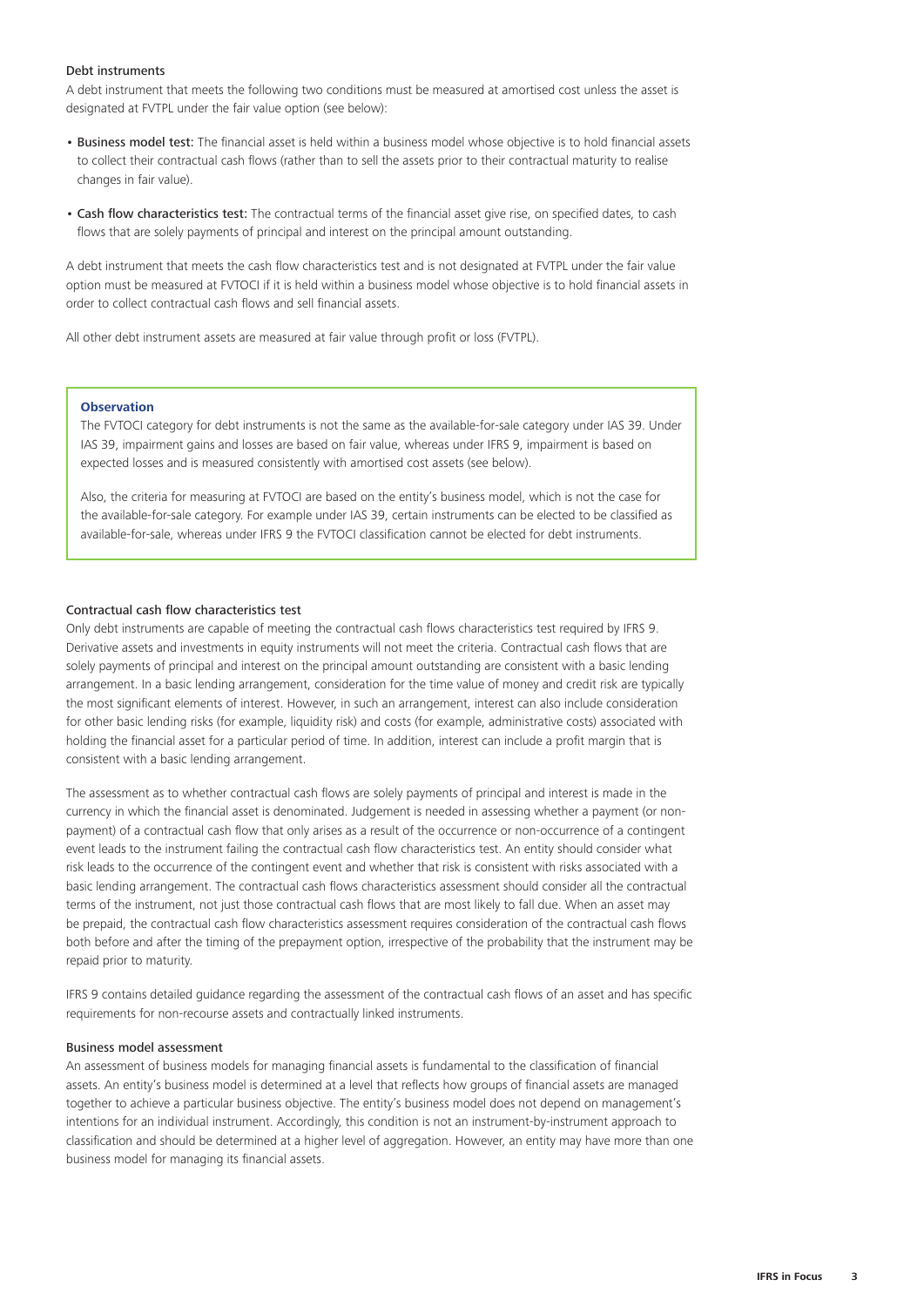#### Debt instruments

A debt instrument that meets the following two conditions must be measured at amortised cost unless the asset is designated at FVTPL under the fair value option (see below):

- Business model test: The financial asset is held within a business model whose objective is to hold financial assets to collect their contractual cash flows (rather than to sell the assets prior to their contractual maturity to realise changes in fair value).
- Cash flow characteristics test: The contractual terms of the financial asset give rise, on specified dates, to cash flows that are solely payments of principal and interest on the principal amount outstanding.

A debt instrument that meets the cash flow characteristics test and is not designated at FVTPL under the fair value option must be measured at FVTOCI if it is held within a business model whose objective is to hold financial assets in order to collect contractual cash flows and sell financial assets.

All other debt instrument assets are measured at fair value through profit or loss (FVTPL).

# **Observation**

The FVTOCI category for debt instruments is not the same as the available-for-sale category under IAS 39. Under IAS 39, impairment gains and losses are based on fair value, whereas under IFRS 9, impairment is based on expected losses and is measured consistently with amortised cost assets (see below).

Also, the criteria for measuring at FVTOCI are based on the entity's business model, which is not the case for the available-for-sale category. For example under IAS 39, certain instruments can be elected to be classified as available-for-sale, whereas under IFRS 9 the FVTOCI classification cannot be elected for debt instruments.

#### Contractual cash flow characteristics test

Only debt instruments are capable of meeting the contractual cash flows characteristics test required by IFRS 9. Derivative assets and investments in equity instruments will not meet the criteria. Contractual cash flows that are solely payments of principal and interest on the principal amount outstanding are consistent with a basic lending arrangement. In a basic lending arrangement, consideration for the time value of money and credit risk are typically the most significant elements of interest. However, in such an arrangement, interest can also include consideration for other basic lending risks (for example, liquidity risk) and costs (for example, administrative costs) associated with holding the financial asset for a particular period of time. In addition, interest can include a profit margin that is consistent with a basic lending arrangement.

The assessment as to whether contractual cash flows are solely payments of principal and interest is made in the currency in which the financial asset is denominated. Judgement is needed in assessing whether a payment (or nonpayment) of a contractual cash flow that only arises as a result of the occurrence or non-occurrence of a contingent event leads to the instrument failing the contractual cash flow characteristics test. An entity should consider what risk leads to the occurrence of the contingent event and whether that risk is consistent with risks associated with a basic lending arrangement. The contractual cash flows characteristics assessment should consider all the contractual terms of the instrument, not just those contractual cash flows that are most likely to fall due. When an asset may be prepaid, the contractual cash flow characteristics assessment requires consideration of the contractual cash flows both before and after the timing of the prepayment option, irrespective of the probability that the instrument may be repaid prior to maturity.

IFRS 9 contains detailed guidance regarding the assessment of the contractual cash flows of an asset and has specific requirements for non-recourse assets and contractually linked instruments.

#### Business model assessment

An assessment of business models for managing financial assets is fundamental to the classification of financial assets. An entity's business model is determined at a level that reflects how groups of financial assets are managed together to achieve a particular business objective. The entity's business model does not depend on management's intentions for an individual instrument. Accordingly, this condition is not an instrument-by-instrument approach to classification and should be determined at a higher level of aggregation. However, an entity may have more than one business model for managing its financial assets.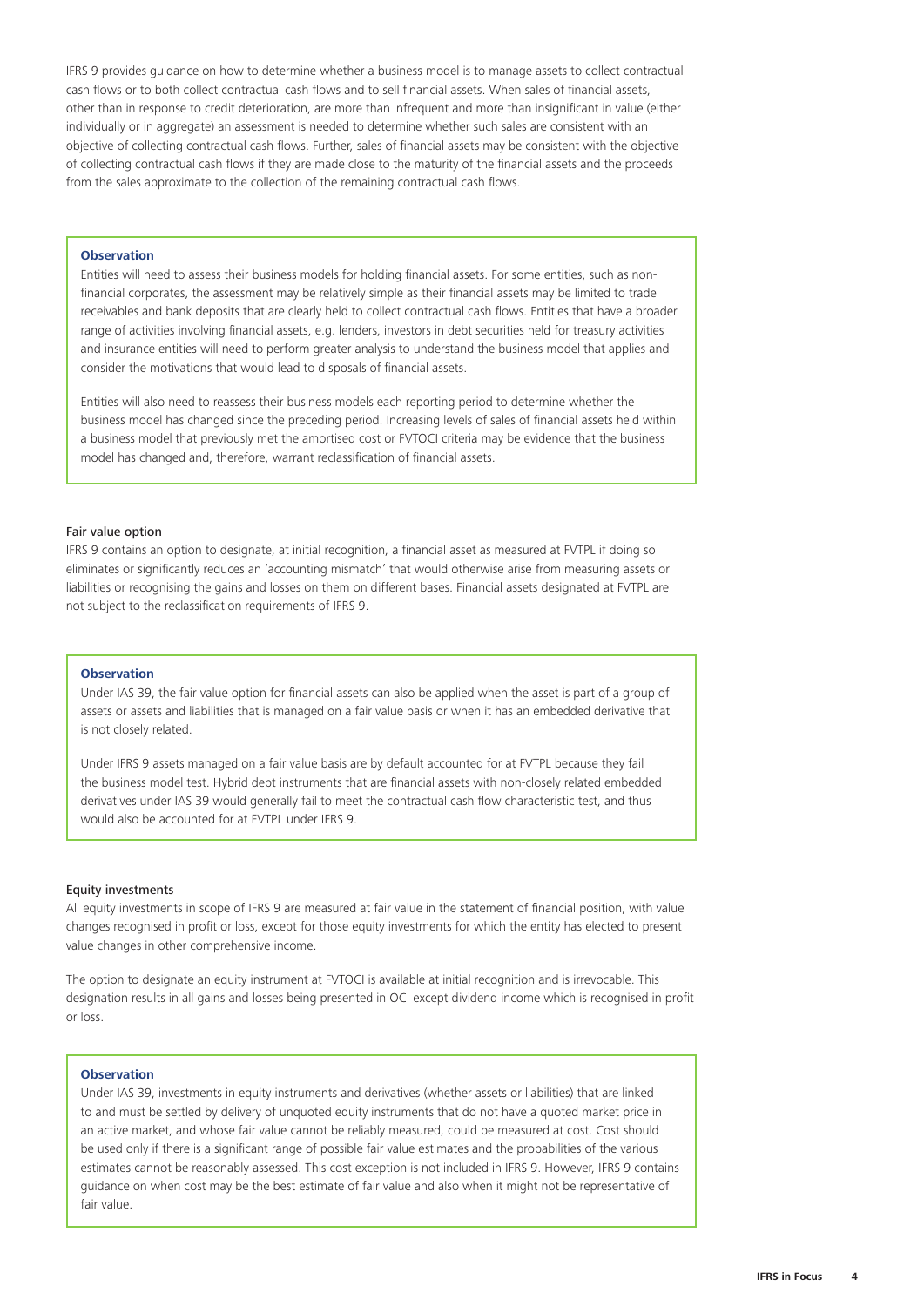IFRS 9 provides guidance on how to determine whether a business model is to manage assets to collect contractual cash flows or to both collect contractual cash flows and to sell financial assets. When sales of financial assets, other than in response to credit deterioration, are more than infrequent and more than insignificant in value (either individually or in aggregate) an assessment is needed to determine whether such sales are consistent with an objective of collecting contractual cash flows. Further, sales of financial assets may be consistent with the objective of collecting contractual cash flows if they are made close to the maturity of the financial assets and the proceeds from the sales approximate to the collection of the remaining contractual cash flows.

# **Observation**

Entities will need to assess their business models for holding financial assets. For some entities, such as nonfinancial corporates, the assessment may be relatively simple as their financial assets may be limited to trade receivables and bank deposits that are clearly held to collect contractual cash flows. Entities that have a broader range of activities involving financial assets, e.g. lenders, investors in debt securities held for treasury activities and insurance entities will need to perform greater analysis to understand the business model that applies and consider the motivations that would lead to disposals of financial assets.

Entities will also need to reassess their business models each reporting period to determine whether the business model has changed since the preceding period. Increasing levels of sales of financial assets held within a business model that previously met the amortised cost or FVTOCI criteria may be evidence that the business model has changed and, therefore, warrant reclassification of financial assets.

#### Fair value option

IFRS 9 contains an option to designate, at initial recognition, a financial asset as measured at FVTPL if doing so eliminates or significantly reduces an 'accounting mismatch' that would otherwise arise from measuring assets or liabilities or recognising the gains and losses on them on different bases. Financial assets designated at FVTPL are not subject to the reclassification requirements of IFRS 9.

# **Observation**

Under IAS 39, the fair value option for financial assets can also be applied when the asset is part of a group of assets or assets and liabilities that is managed on a fair value basis or when it has an embedded derivative that is not closely related.

Under IFRS 9 assets managed on a fair value basis are by default accounted for at FVTPL because they fail the business model test. Hybrid debt instruments that are financial assets with non-closely related embedded derivatives under IAS 39 would generally fail to meet the contractual cash flow characteristic test, and thus would also be accounted for at FVTPL under IFRS 9.

#### Equity investments

All equity investments in scope of IFRS 9 are measured at fair value in the statement of financial position, with value changes recognised in profit or loss, except for those equity investments for which the entity has elected to present value changes in other comprehensive income.

The option to designate an equity instrument at FVTOCI is available at initial recognition and is irrevocable. This designation results in all gains and losses being presented in OCI except dividend income which is recognised in profit or loss.

#### **Observation**

Under IAS 39, investments in equity instruments and derivatives (whether assets or liabilities) that are linked to and must be settled by delivery of unquoted equity instruments that do not have a quoted market price in an active market, and whose fair value cannot be reliably measured, could be measured at cost. Cost should be used only if there is a significant range of possible fair value estimates and the probabilities of the various estimates cannot be reasonably assessed. This cost exception is not included in IFRS 9. However, IFRS 9 contains guidance on when cost may be the best estimate of fair value and also when it might not be representative of fair value.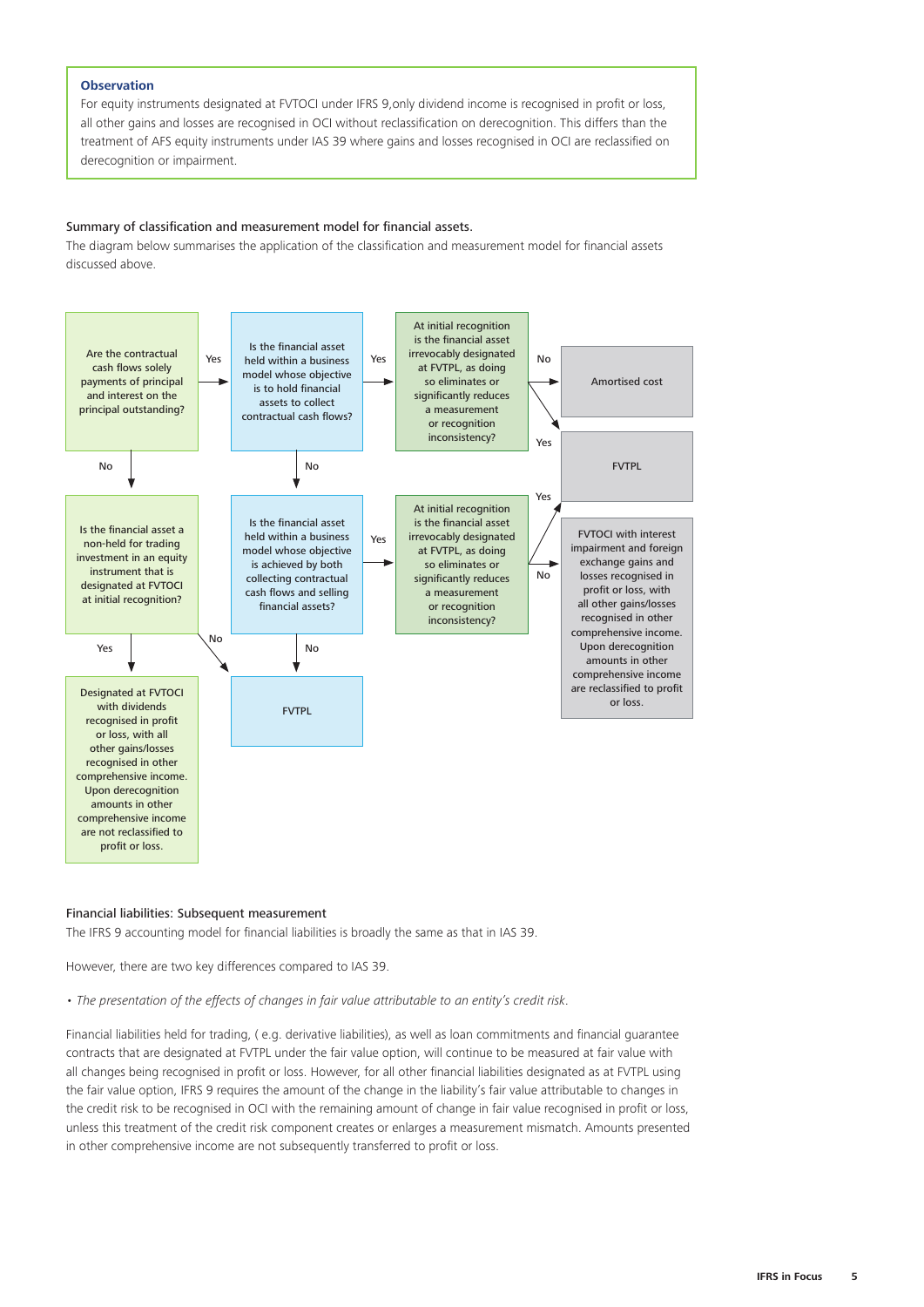#### **Observation**

For equity instruments designated at FVTOCI under IFRS 9,only dividend income is recognised in profit or loss, all other gains and losses are recognised in OCI without reclassification on derecognition. This differs than the treatment of AFS equity instruments under IAS 39 where gains and losses recognised in OCI are reclassified on derecognition or impairment.

# Summary of classification and measurement model for financial assets.

The diagram below summarises the application of the classification and measurement model for financial assets discussed above.



#### Financial liabilities: Subsequent measurement

The IFRS 9 accounting model for financial liabilities is broadly the same as that in IAS 39.

However, there are two key differences compared to IAS 39.

*• The presentation of the effects of changes in fair value attributable to an entity's credit risk*.

Financial liabilities held for trading, ( e.g. derivative liabilities), as well as loan commitments and financial guarantee contracts that are designated at FVTPL under the fair value option, will continue to be measured at fair value with all changes being recognised in profit or loss. However, for all other financial liabilities designated as at FVTPL using the fair value option, IFRS 9 requires the amount of the change in the liability's fair value attributable to changes in the credit risk to be recognised in OCI with the remaining amount of change in fair value recognised in profit or loss, unless this treatment of the credit risk component creates or enlarges a measurement mismatch. Amounts presented in other comprehensive income are not subsequently transferred to profit or loss.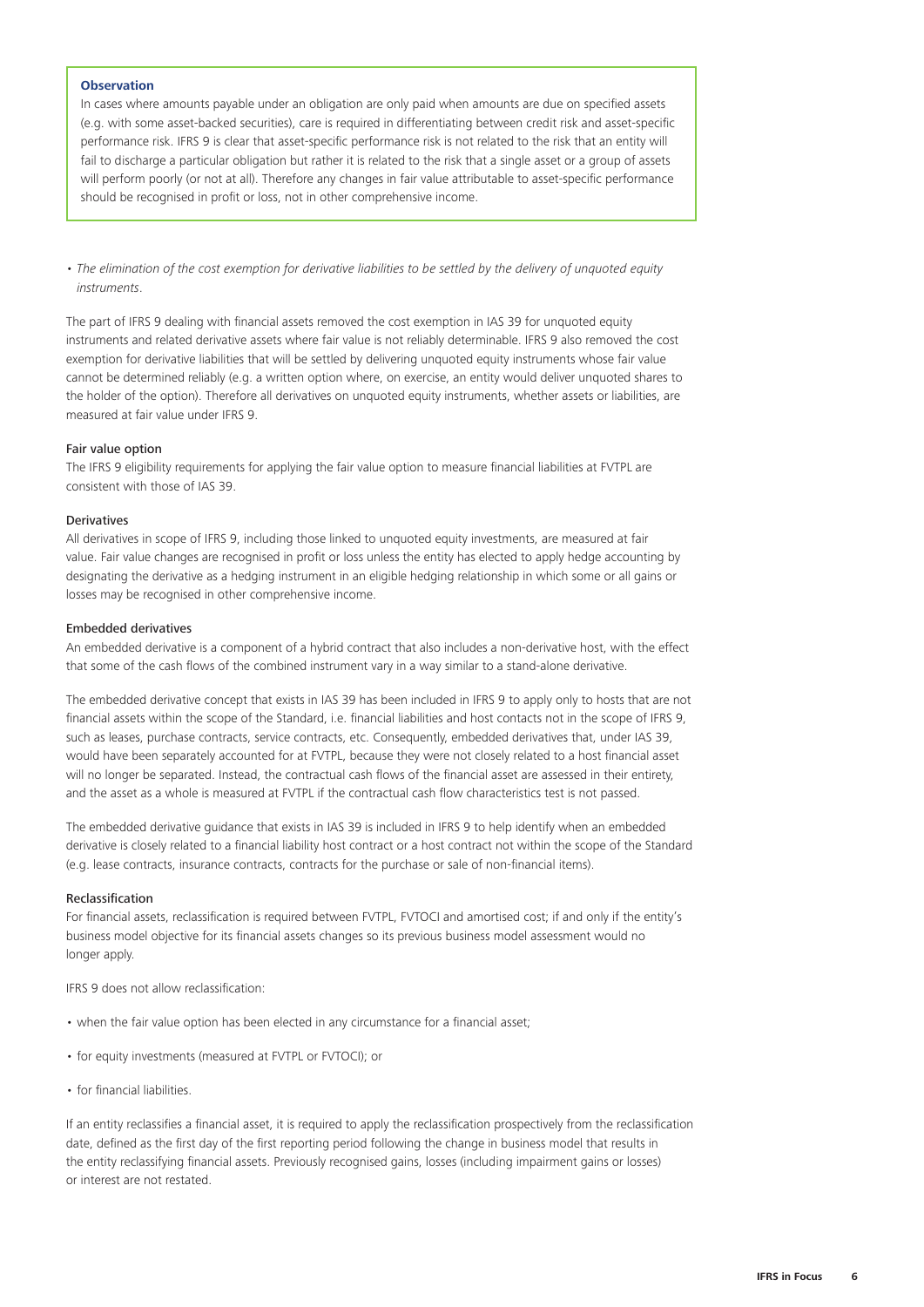#### **Observation**

In cases where amounts payable under an obligation are only paid when amounts are due on specified assets (e.g. with some asset-backed securities), care is required in differentiating between credit risk and asset-specific performance risk. IFRS 9 is clear that asset-specific performance risk is not related to the risk that an entity will fail to discharge a particular obligation but rather it is related to the risk that a single asset or a group of assets will perform poorly (or not at all). Therefore any changes in fair value attributable to asset-specific performance should be recognised in profit or loss, not in other comprehensive income.

*• The elimination of the cost exemption for derivative liabilities to be settled by the delivery of unquoted equity instruments*.

The part of IFRS 9 dealing with financial assets removed the cost exemption in IAS 39 for unquoted equity instruments and related derivative assets where fair value is not reliably determinable. IFRS 9 also removed the cost exemption for derivative liabilities that will be settled by delivering unquoted equity instruments whose fair value cannot be determined reliably (e.g. a written option where, on exercise, an entity would deliver unquoted shares to the holder of the option). Therefore all derivatives on unquoted equity instruments, whether assets or liabilities, are measured at fair value under IFRS 9.

## Fair value option

The IFRS 9 eligibility requirements for applying the fair value option to measure financial liabilities at FVTPL are consistent with those of IAS 39.

# Derivatives

All derivatives in scope of IFRS 9, including those linked to unquoted equity investments, are measured at fair value. Fair value changes are recognised in profit or loss unless the entity has elected to apply hedge accounting by designating the derivative as a hedging instrument in an eligible hedging relationship in which some or all gains or losses may be recognised in other comprehensive income.

#### Embedded derivatives

An embedded derivative is a component of a hybrid contract that also includes a non-derivative host, with the effect that some of the cash flows of the combined instrument vary in a way similar to a stand-alone derivative.

The embedded derivative concept that exists in IAS 39 has been included in IFRS 9 to apply only to hosts that are not financial assets within the scope of the Standard, i.e. financial liabilities and host contacts not in the scope of IFRS 9, such as leases, purchase contracts, service contracts, etc. Consequently, embedded derivatives that, under IAS 39, would have been separately accounted for at FVTPL, because they were not closely related to a host financial asset will no longer be separated. Instead, the contractual cash flows of the financial asset are assessed in their entirety, and the asset as a whole is measured at FVTPL if the contractual cash flow characteristics test is not passed.

The embedded derivative guidance that exists in IAS 39 is included in IFRS 9 to help identify when an embedded derivative is closely related to a financial liability host contract or a host contract not within the scope of the Standard (e.g. lease contracts, insurance contracts, contracts for the purchase or sale of non-financial items).

#### Reclassification

For financial assets, reclassification is required between FVTPL, FVTOCI and amortised cost; if and only if the entity's business model objective for its financial assets changes so its previous business model assessment would no longer apply.

IFRS 9 does not allow reclassification:

- when the fair value option has been elected in any circumstance for a financial asset;
- for equity investments (measured at FVTPL or FVTOCI); or
- for financial liabilities.

If an entity reclassifies a financial asset, it is required to apply the reclassification prospectively from the reclassification date, defined as the first day of the first reporting period following the change in business model that results in the entity reclassifying financial assets. Previously recognised gains, losses (including impairment gains or losses) or interest are not restated.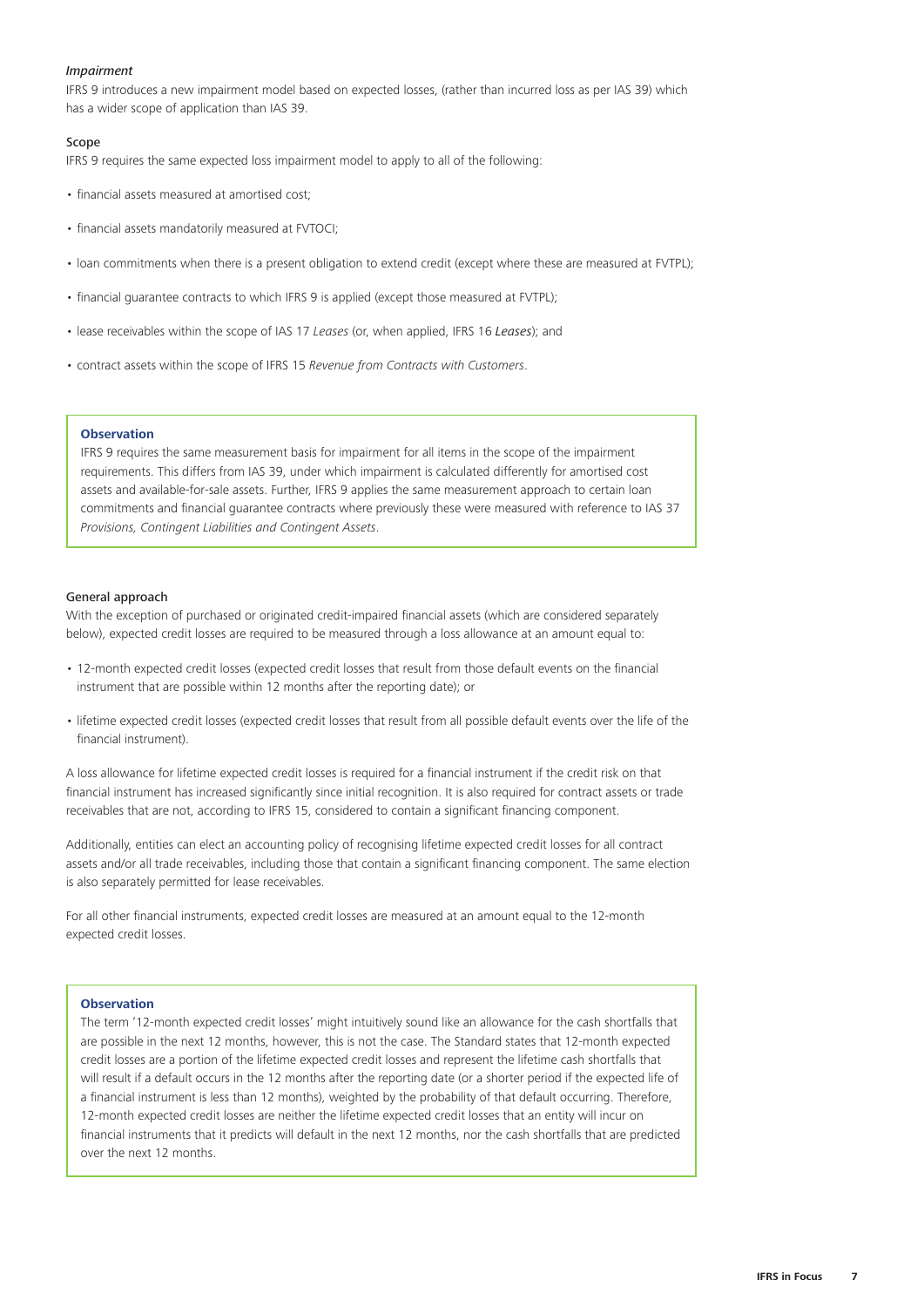#### *Impairment*

IFRS 9 introduces a new impairment model based on expected losses, (rather than incurred loss as per IAS 39) which has a wider scope of application than IAS 39.

#### Scope

IFRS 9 requires the same expected loss impairment model to apply to all of the following:

- financial assets measured at amortised cost;
- financial assets mandatorily measured at FVTOCI;
- loan commitments when there is a present obligation to extend credit (except where these are measured at FVTPL);
- financial guarantee contracts to which IFRS 9 is applied (except those measured at FVTPL);
- lease receivables within the scope of IAS 17 *Leases* (or, when applied, IFRS 16 *Leases*); and
- contract assets within the scope of IFRS 15 *Revenue from Contracts with Customers*.

#### **Observation**

IFRS 9 requires the same measurement basis for impairment for all items in the scope of the impairment requirements. This differs from IAS 39, under which impairment is calculated differently for amortised cost assets and available-for-sale assets. Further, IFRS 9 applies the same measurement approach to certain loan commitments and financial guarantee contracts where previously these were measured with reference to IAS 37 *Provisions, Contingent Liabilities and Contingent Assets*.

#### General approach

With the exception of purchased or originated credit-impaired financial assets (which are considered separately below), expected credit losses are required to be measured through a loss allowance at an amount equal to:

- 12-month expected credit losses (expected credit losses that result from those default events on the financial instrument that are possible within 12 months after the reporting date); or
- lifetime expected credit losses (expected credit losses that result from all possible default events over the life of the financial instrument).

A loss allowance for lifetime expected credit losses is required for a financial instrument if the credit risk on that financial instrument has increased significantly since initial recognition. It is also required for contract assets or trade receivables that are not, according to IFRS 15, considered to contain a significant financing component.

Additionally, entities can elect an accounting policy of recognising lifetime expected credit losses for all contract assets and/or all trade receivables, including those that contain a significant financing component. The same election is also separately permitted for lease receivables.

For all other financial instruments, expected credit losses are measured at an amount equal to the 12-month expected credit losses.

#### **Observation**

The term '12-month expected credit losses' might intuitively sound like an allowance for the cash shortfalls that are possible in the next 12 months, however, this is not the case. The Standard states that 12-month expected credit losses are a portion of the lifetime expected credit losses and represent the lifetime cash shortfalls that will result if a default occurs in the 12 months after the reporting date (or a shorter period if the expected life of a financial instrument is less than 12 months), weighted by the probability of that default occurring. Therefore, 12-month expected credit losses are neither the lifetime expected credit losses that an entity will incur on financial instruments that it predicts will default in the next 12 months, nor the cash shortfalls that are predicted over the next 12 months.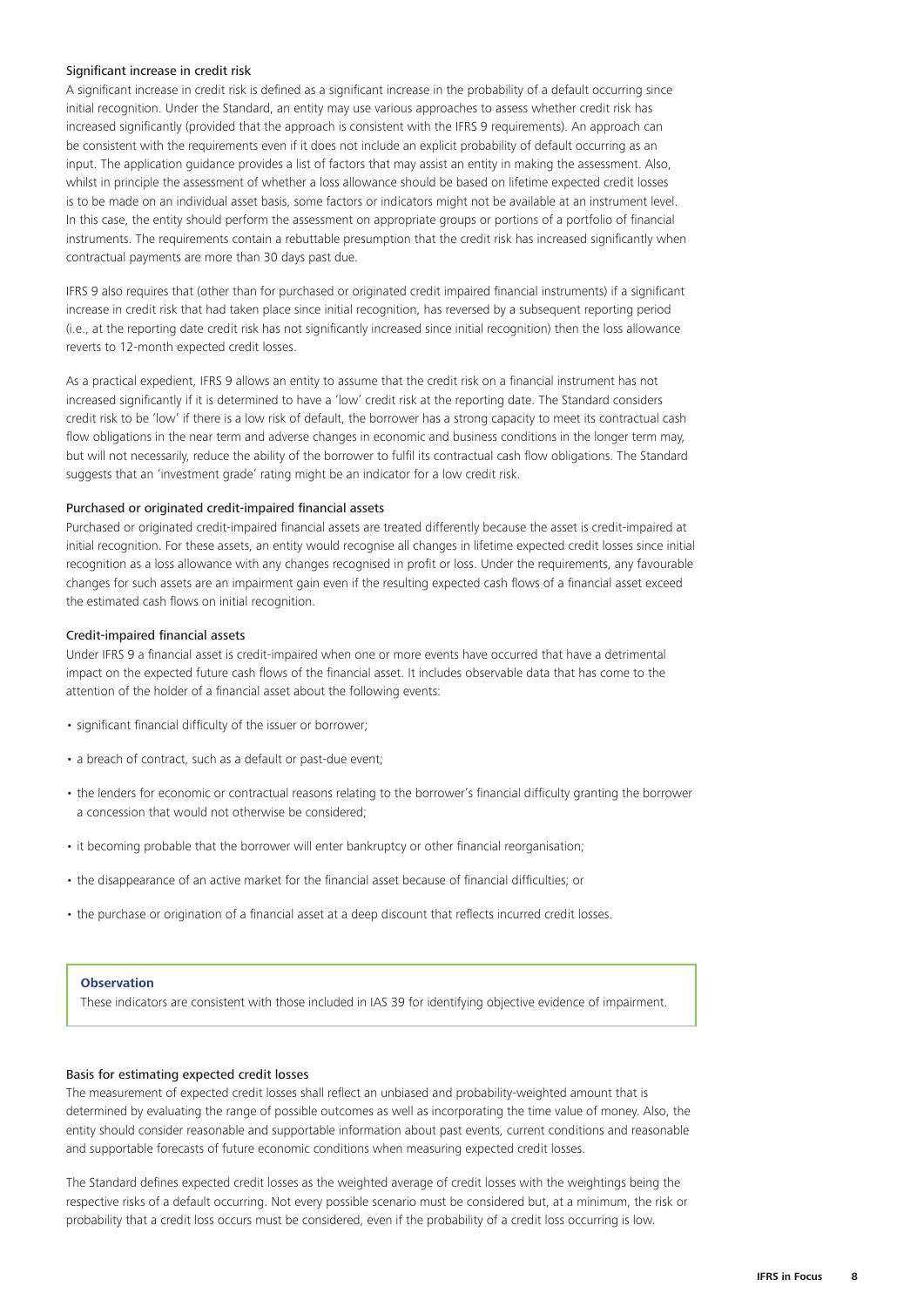#### Significant increase in credit risk

A significant increase in credit risk is defined as a significant increase in the probability of a default occurring since initial recognition. Under the Standard, an entity may use various approaches to assess whether credit risk has increased significantly (provided that the approach is consistent with the IFRS 9 requirements). An approach can be consistent with the requirements even if it does not include an explicit probability of default occurring as an input. The application guidance provides a list of factors that may assist an entity in making the assessment. Also, whilst in principle the assessment of whether a loss allowance should be based on lifetime expected credit losses is to be made on an individual asset basis, some factors or indicators might not be available at an instrument level. In this case, the entity should perform the assessment on appropriate groups or portions of a portfolio of financial instruments. The requirements contain a rebuttable presumption that the credit risk has increased significantly when contractual payments are more than 30 days past due.

IFRS 9 also requires that (other than for purchased or originated credit impaired financial instruments) if a significant increase in credit risk that had taken place since initial recognition, has reversed by a subsequent reporting period (i.e., at the reporting date credit risk has not significantly increased since initial recognition) then the loss allowance reverts to 12-month expected credit losses.

As a practical expedient, IFRS 9 allows an entity to assume that the credit risk on a financial instrument has not increased significantly if it is determined to have a 'low' credit risk at the reporting date. The Standard considers credit risk to be 'low' if there is a low risk of default, the borrower has a strong capacity to meet its contractual cash flow obligations in the near term and adverse changes in economic and business conditions in the longer term may, but will not necessarily, reduce the ability of the borrower to fulfil its contractual cash flow obligations. The Standard suggests that an 'investment grade' rating might be an indicator for a low credit risk.

#### Purchased or originated credit-impaired financial assets

Purchased or originated credit-impaired financial assets are treated differently because the asset is credit-impaired at initial recognition. For these assets, an entity would recognise all changes in lifetime expected credit losses since initial recognition as a loss allowance with any changes recognised in profit or loss. Under the requirements, any favourable changes for such assets are an impairment gain even if the resulting expected cash flows of a financial asset exceed the estimated cash flows on initial recognition.

#### Credit-impaired financial assets

Under IFRS 9 a financial asset is credit-impaired when one or more events have occurred that have a detrimental impact on the expected future cash flows of the financial asset. It includes observable data that has come to the attention of the holder of a financial asset about the following events:

- significant financial difficulty of the issuer or borrower;
- a breach of contract, such as a default or past-due event;
- the lenders for economic or contractual reasons relating to the borrower's financial difficulty granting the borrower a concession that would not otherwise be considered;
- it becoming probable that the borrower will enter bankruptcy or other financial reorganisation;
- the disappearance of an active market for the financial asset because of financial difficulties; or
- the purchase or origination of a financial asset at a deep discount that reflects incurred credit losses.

#### **Observation**

These indicators are consistent with those included in IAS 39 for identifying objective evidence of impairment.

#### Basis for estimating expected credit losses

The measurement of expected credit losses shall reflect an unbiased and probability-weighted amount that is determined by evaluating the range of possible outcomes as well as incorporating the time value of money. Also, the entity should consider reasonable and supportable information about past events, current conditions and reasonable and supportable forecasts of future economic conditions when measuring expected credit losses.

The Standard defines expected credit losses as the weighted average of credit losses with the weightings being the respective risks of a default occurring. Not every possible scenario must be considered but, at a minimum, the risk or probability that a credit loss occurs must be considered, even if the probability of a credit loss occurring is low.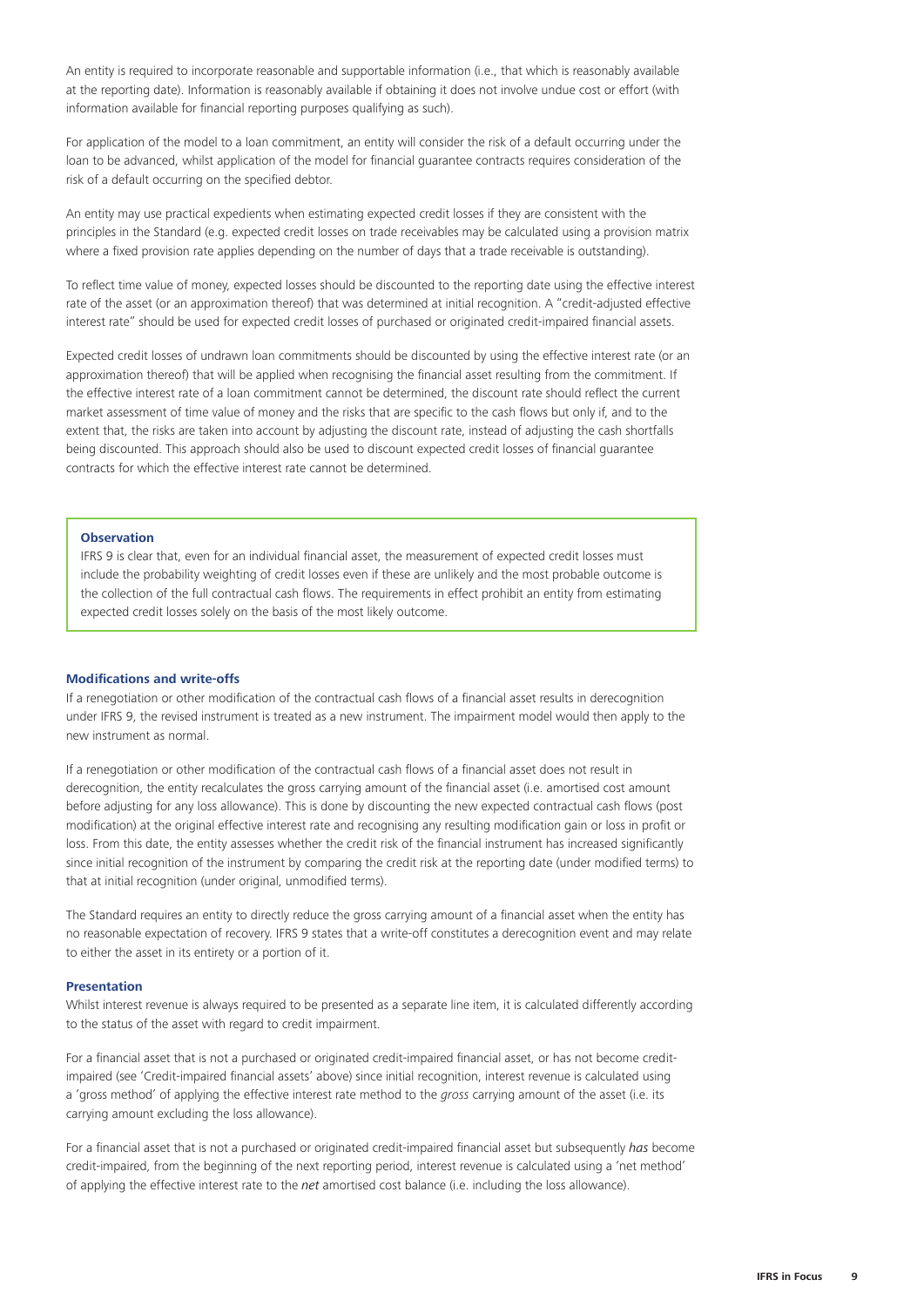An entity is required to incorporate reasonable and supportable information (i.e., that which is reasonably available at the reporting date). Information is reasonably available if obtaining it does not involve undue cost or effort (with information available for financial reporting purposes qualifying as such).

For application of the model to a loan commitment, an entity will consider the risk of a default occurring under the loan to be advanced, whilst application of the model for financial guarantee contracts requires consideration of the risk of a default occurring on the specified debtor.

An entity may use practical expedients when estimating expected credit losses if they are consistent with the principles in the Standard (e.g. expected credit losses on trade receivables may be calculated using a provision matrix where a fixed provision rate applies depending on the number of days that a trade receivable is outstanding).

To reflect time value of money, expected losses should be discounted to the reporting date using the effective interest rate of the asset (or an approximation thereof) that was determined at initial recognition. A "credit-adjusted effective interest rate" should be used for expected credit losses of purchased or originated credit-impaired financial assets.

Expected credit losses of undrawn loan commitments should be discounted by using the effective interest rate (or an approximation thereof) that will be applied when recognising the financial asset resulting from the commitment. If the effective interest rate of a loan commitment cannot be determined, the discount rate should reflect the current market assessment of time value of money and the risks that are specific to the cash flows but only if, and to the extent that, the risks are taken into account by adjusting the discount rate, instead of adjusting the cash shortfalls being discounted. This approach should also be used to discount expected credit losses of financial guarantee contracts for which the effective interest rate cannot be determined.

# **Observation**

IFRS 9 is clear that, even for an individual financial asset, the measurement of expected credit losses must include the probability weighting of credit losses even if these are unlikely and the most probable outcome is the collection of the full contractual cash flows. The requirements in effect prohibit an entity from estimating expected credit losses solely on the basis of the most likely outcome.

#### **Modifications and write-offs**

If a renegotiation or other modification of the contractual cash flows of a financial asset results in derecognition under IFRS 9, the revised instrument is treated as a new instrument. The impairment model would then apply to the new instrument as normal.

If a renegotiation or other modification of the contractual cash flows of a financial asset does not result in derecognition, the entity recalculates the gross carrying amount of the financial asset (i.e. amortised cost amount before adjusting for any loss allowance). This is done by discounting the new expected contractual cash flows (post modification) at the original effective interest rate and recognising any resulting modification gain or loss in profit or loss. From this date, the entity assesses whether the credit risk of the financial instrument has increased significantly since initial recognition of the instrument by comparing the credit risk at the reporting date (under modified terms) to that at initial recognition (under original, unmodified terms).

The Standard requires an entity to directly reduce the gross carrying amount of a financial asset when the entity has no reasonable expectation of recovery. IFRS 9 states that a write-off constitutes a derecognition event and may relate to either the asset in its entirety or a portion of it.

#### **Presentation**

Whilst interest revenue is always required to be presented as a separate line item, it is calculated differently according to the status of the asset with regard to credit impairment.

For a financial asset that is not a purchased or originated credit-impaired financial asset, or has not become creditimpaired (see 'Credit-impaired financial assets' above) since initial recognition, interest revenue is calculated using a 'gross method' of applying the effective interest rate method to the *gross* carrying amount of the asset (i.e. its carrying amount excluding the loss allowance).

For a financial asset that is not a purchased or originated credit-impaired financial asset but subsequently *has* become credit-impaired, from the beginning of the next reporting period, interest revenue is calculated using a 'net method' of applying the effective interest rate to the *net* amortised cost balance (i.e. including the loss allowance).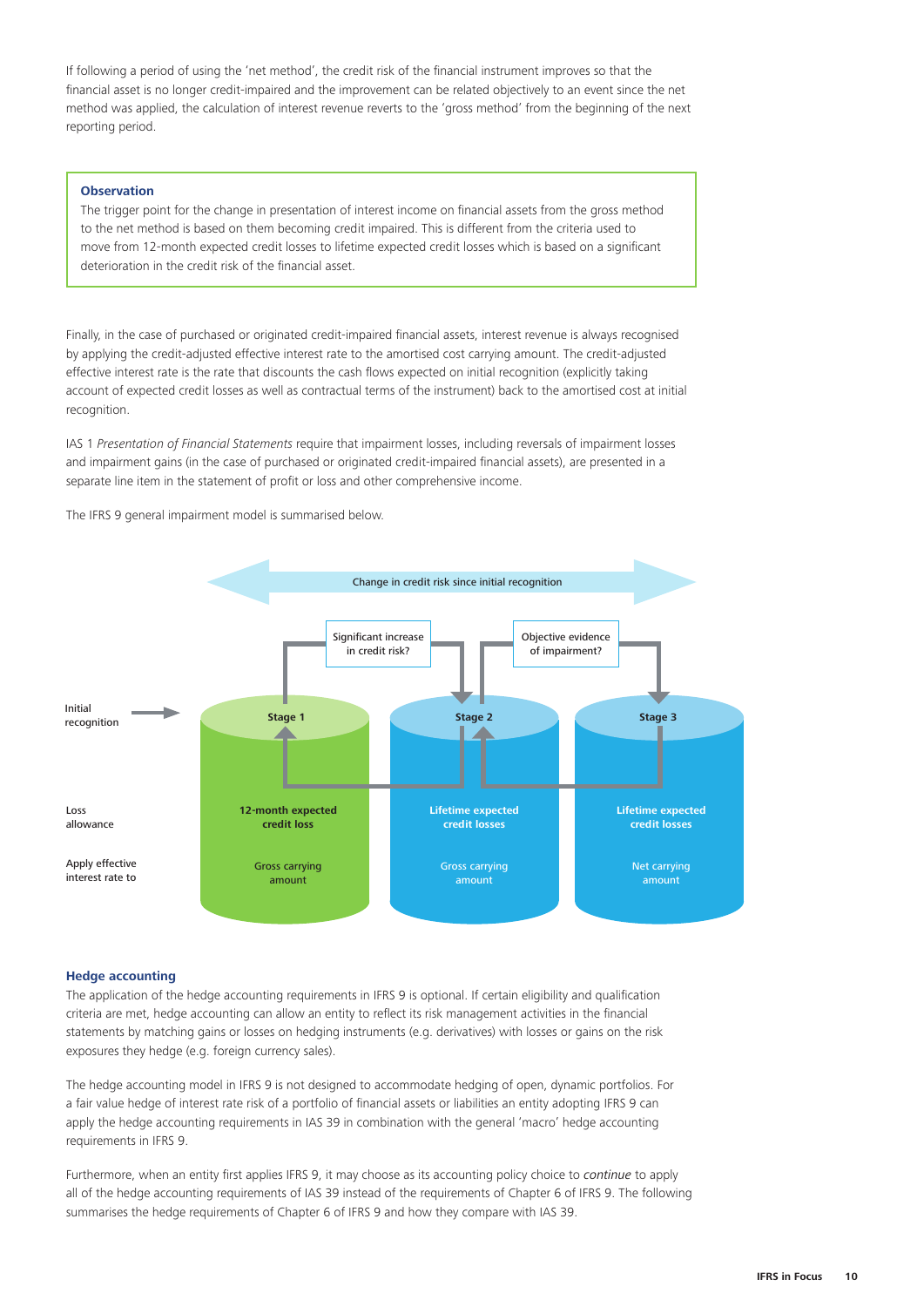If following a period of using the 'net method', the credit risk of the financial instrument improves so that the financial asset is no longer credit-impaired and the improvement can be related objectively to an event since the net method was applied, the calculation of interest revenue reverts to the 'gross method' from the beginning of the next reporting period.

#### **Observation**

The trigger point for the change in presentation of interest income on financial assets from the gross method to the net method is based on them becoming credit impaired. This is different from the criteria used to move from 12-month expected credit losses to lifetime expected credit losses which is based on a significant deterioration in the credit risk of the financial asset.

Finally, in the case of purchased or originated credit-impaired financial assets, interest revenue is always recognised by applying the credit-adjusted effective interest rate to the amortised cost carrying amount. The credit-adjusted effective interest rate is the rate that discounts the cash flows expected on initial recognition (explicitly taking account of expected credit losses as well as contractual terms of the instrument) back to the amortised cost at initial recognition.

IAS 1 *Presentation of Financial Statements* require that impairment losses, including reversals of impairment losses and impairment gains (in the case of purchased or originated credit-impaired financial assets), are presented in a separate line item in the statement of profit or loss and other comprehensive income.

The IFRS 9 general impairment model is summarised below.



#### **Hedge accounting**

The application of the hedge accounting requirements in IFRS 9 is optional. If certain eligibility and qualification criteria are met, hedge accounting can allow an entity to reflect its risk management activities in the financial statements by matching gains or losses on hedging instruments (e.g. derivatives) with losses or gains on the risk exposures they hedge (e.g. foreign currency sales).

The hedge accounting model in IFRS 9 is not designed to accommodate hedging of open, dynamic portfolios. For a fair value hedge of interest rate risk of a portfolio of financial assets or liabilities an entity adopting IFRS 9 can apply the hedge accounting requirements in IAS 39 in combination with the general 'macro' hedge accounting requirements in IFRS 9.

Furthermore, when an entity first applies IFRS 9, it may choose as its accounting policy choice to *continue* to apply all of the hedge accounting requirements of IAS 39 instead of the requirements of Chapter 6 of IFRS 9. The following summarises the hedge requirements of Chapter 6 of IFRS 9 and how they compare with IAS 39.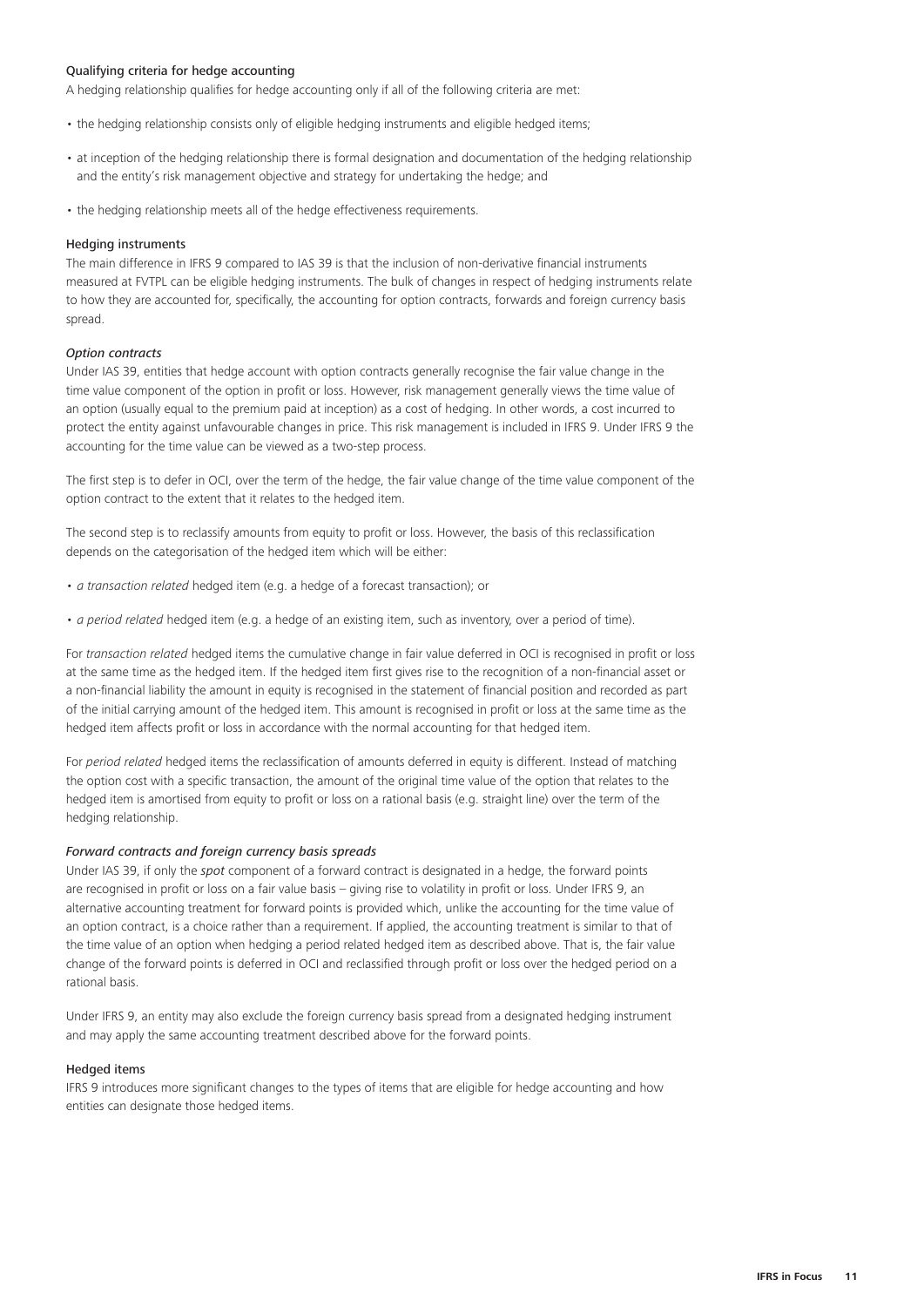# Qualifying criteria for hedge accounting

A hedging relationship qualifies for hedge accounting only if all of the following criteria are met:

- the hedging relationship consists only of eligible hedging instruments and eligible hedged items;
- at inception of the hedging relationship there is formal designation and documentation of the hedging relationship and the entity's risk management objective and strategy for undertaking the hedge; and
- the hedging relationship meets all of the hedge effectiveness requirements.

#### Hedging instruments

The main difference in IFRS 9 compared to IAS 39 is that the inclusion of non-derivative financial instruments measured at FVTPL can be eligible hedging instruments. The bulk of changes in respect of hedging instruments relate to how they are accounted for, specifically, the accounting for option contracts, forwards and foreign currency basis spread.

# *Option contracts*

Under IAS 39, entities that hedge account with option contracts generally recognise the fair value change in the time value component of the option in profit or loss. However, risk management generally views the time value of an option (usually equal to the premium paid at inception) as a cost of hedging. In other words, a cost incurred to protect the entity against unfavourable changes in price. This risk management is included in IFRS 9. Under IFRS 9 the accounting for the time value can be viewed as a two-step process.

The first step is to defer in OCI, over the term of the hedge, the fair value change of the time value component of the option contract to the extent that it relates to the hedged item.

The second step is to reclassify amounts from equity to profit or loss. However, the basis of this reclassification depends on the categorisation of the hedged item which will be either:

- *• a transaction related* hedged item (e.g. a hedge of a forecast transaction); or
- *• a period related* hedged item (e.g. a hedge of an existing item, such as inventory, over a period of time).

For *transaction related* hedged items the cumulative change in fair value deferred in OCI is recognised in profit or loss at the same time as the hedged item. If the hedged item first gives rise to the recognition of a non-financial asset or a non-financial liability the amount in equity is recognised in the statement of financial position and recorded as part of the initial carrying amount of the hedged item. This amount is recognised in profit or loss at the same time as the hedged item affects profit or loss in accordance with the normal accounting for that hedged item.

For *period related* hedged items the reclassification of amounts deferred in equity is different. Instead of matching the option cost with a specific transaction, the amount of the original time value of the option that relates to the hedged item is amortised from equity to profit or loss on a rational basis (e.g. straight line) over the term of the hedging relationship.

#### *Forward contracts and foreign currency basis spreads*

Under IAS 39, if only the *spot* component of a forward contract is designated in a hedge, the forward points are recognised in profit or loss on a fair value basis – giving rise to volatility in profit or loss. Under IFRS 9, an alternative accounting treatment for forward points is provided which, unlike the accounting for the time value of an option contract, is a choice rather than a requirement. If applied, the accounting treatment is similar to that of the time value of an option when hedging a period related hedged item as described above. That is, the fair value change of the forward points is deferred in OCI and reclassified through profit or loss over the hedged period on a rational basis.

Under IFRS 9, an entity may also exclude the foreign currency basis spread from a designated hedging instrument and may apply the same accounting treatment described above for the forward points.

#### Hedged items

IFRS 9 introduces more significant changes to the types of items that are eligible for hedge accounting and how entities can designate those hedged items.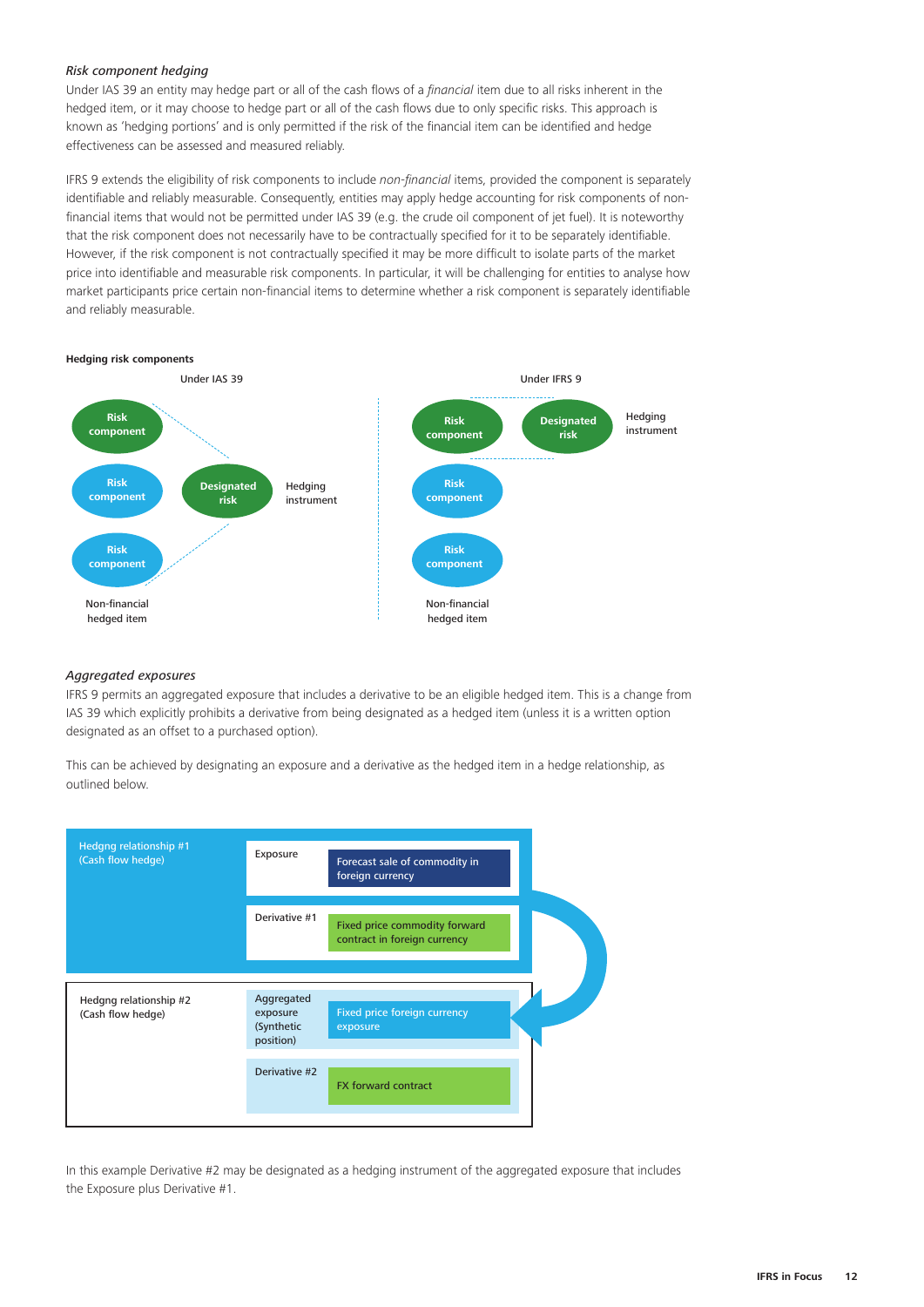# *Risk component hedging*

Under IAS 39 an entity may hedge part or all of the cash flows of a *financial* item due to all risks inherent in the hedged item, or it may choose to hedge part or all of the cash flows due to only specific risks. This approach is known as 'hedging portions' and is only permitted if the risk of the financial item can be identified and hedge effectiveness can be assessed and measured reliably.

IFRS 9 extends the eligibility of risk components to include *non-financial* items, provided the component is separately identifiable and reliably measurable. Consequently, entities may apply hedge accounting for risk components of nonfinancial items that would not be permitted under IAS 39 (e.g. the crude oil component of jet fuel). It is noteworthy that the risk component does not necessarily have to be contractually specified for it to be separately identifiable. However, if the risk component is not contractually specified it may be more difficult to isolate parts of the market price into identifiable and measurable risk components. In particular, it will be challenging for entities to analyse how market participants price certain non-financial items to determine whether a risk component is separately identifiable and reliably measurable.



#### *Aggregated exposures*

IFRS 9 permits an aggregated exposure that includes a derivative to be an eligible hedged item. This is a change from IAS 39 which explicitly prohibits a derivative from being designated as a hedged item (unless it is a written option designated as an offset to a purchased option).

This can be achieved by designating an exposure and a derivative as the hedged item in a hedge relationship, as outlined below.



In this example Derivative #2 may be designated as a hedging instrument of the aggregated exposure that includes the Exposure plus Derivative #1.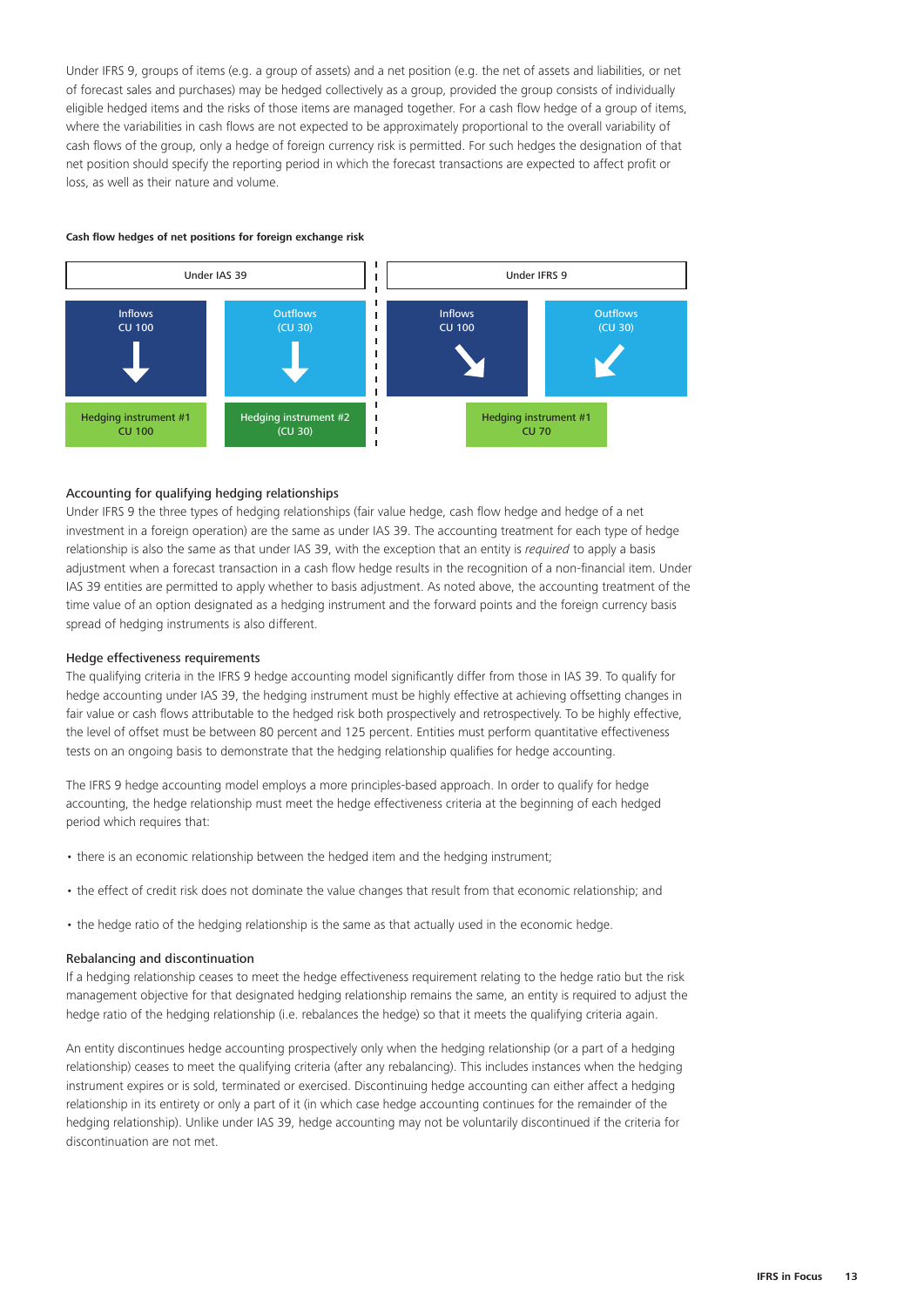Under IFRS 9, groups of items (e.g. a group of assets) and a net position (e.g. the net of assets and liabilities, or net of forecast sales and purchases) may be hedged collectively as a group, provided the group consists of individually eligible hedged items and the risks of those items are managed together. For a cash flow hedge of a group of items, where the variabilities in cash flows are not expected to be approximately proportional to the overall variability of cash flows of the group, only a hedge of foreign currency risk is permitted. For such hedges the designation of that net position should specify the reporting period in which the forecast transactions are expected to affect profit or loss, as well as their nature and volume.

#### **Cash flow hedges of net positions for foreign exchange risk**



# Accounting for qualifying hedging relationships

Under IFRS 9 the three types of hedging relationships (fair value hedge, cash flow hedge and hedge of a net investment in a foreign operation) are the same as under IAS 39. The accounting treatment for each type of hedge relationship is also the same as that under IAS 39, with the exception that an entity is *required* to apply a basis adjustment when a forecast transaction in a cash flow hedge results in the recognition of a non-financial item. Under IAS 39 entities are permitted to apply whether to basis adjustment. As noted above, the accounting treatment of the time value of an option designated as a hedging instrument and the forward points and the foreign currency basis spread of hedging instruments is also different.

#### Hedge effectiveness requirements

The qualifying criteria in the IFRS 9 hedge accounting model significantly differ from those in IAS 39. To qualify for hedge accounting under IAS 39, the hedging instrument must be highly effective at achieving offsetting changes in fair value or cash flows attributable to the hedged risk both prospectively and retrospectively. To be highly effective, the level of offset must be between 80 percent and 125 percent. Entities must perform quantitative effectiveness tests on an ongoing basis to demonstrate that the hedging relationship qualifies for hedge accounting.

The IFRS 9 hedge accounting model employs a more principles-based approach. In order to qualify for hedge accounting, the hedge relationship must meet the hedge effectiveness criteria at the beginning of each hedged period which requires that:

- there is an economic relationship between the hedged item and the hedging instrument;
- the effect of credit risk does not dominate the value changes that result from that economic relationship; and
- the hedge ratio of the hedging relationship is the same as that actually used in the economic hedge.

#### Rebalancing and discontinuation

If a hedging relationship ceases to meet the hedge effectiveness requirement relating to the hedge ratio but the risk management objective for that designated hedging relationship remains the same, an entity is required to adjust the hedge ratio of the hedging relationship (i.e. rebalances the hedge) so that it meets the qualifying criteria again.

An entity discontinues hedge accounting prospectively only when the hedging relationship (or a part of a hedging relationship) ceases to meet the qualifying criteria (after any rebalancing). This includes instances when the hedging instrument expires or is sold, terminated or exercised. Discontinuing hedge accounting can either affect a hedging relationship in its entirety or only a part of it (in which case hedge accounting continues for the remainder of the hedging relationship). Unlike under IAS 39, hedge accounting may not be voluntarily discontinued if the criteria for discontinuation are not met.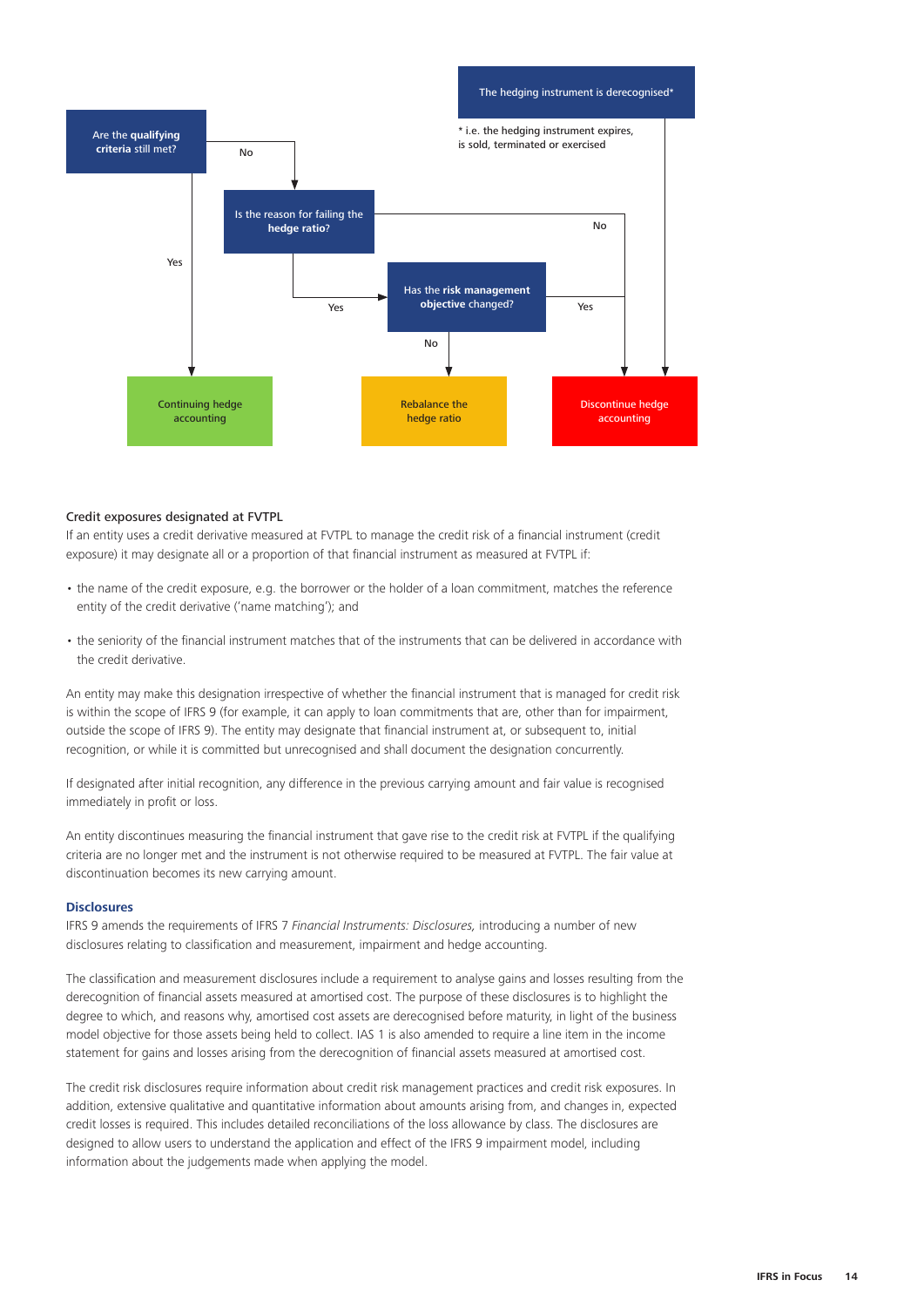

#### Credit exposures designated at FVTPL

If an entity uses a credit derivative measured at FVTPL to manage the credit risk of a financial instrument (credit exposure) it may designate all or a proportion of that financial instrument as measured at FVTPL if:

- the name of the credit exposure, e.g. the borrower or the holder of a loan commitment, matches the reference entity of the credit derivative ('name matching'); and
- the seniority of the financial instrument matches that of the instruments that can be delivered in accordance with the credit derivative.

An entity may make this designation irrespective of whether the financial instrument that is managed for credit risk is within the scope of IFRS 9 (for example, it can apply to loan commitments that are, other than for impairment, outside the scope of IFRS 9). The entity may designate that financial instrument at, or subsequent to, initial recognition, or while it is committed but unrecognised and shall document the designation concurrently.

If designated after initial recognition, any difference in the previous carrying amount and fair value is recognised immediately in profit or loss.

An entity discontinues measuring the financial instrument that gave rise to the credit risk at FVTPL if the qualifying criteria are no longer met and the instrument is not otherwise required to be measured at FVTPL. The fair value at discontinuation becomes its new carrying amount.

# **Disclosures**

IFRS 9 amends the requirements of IFRS 7 *Financial Instruments: Disclosures,* introducing a number of new disclosures relating to classification and measurement, impairment and hedge accounting.

The classification and measurement disclosures include a requirement to analyse gains and losses resulting from the derecognition of financial assets measured at amortised cost. The purpose of these disclosures is to highlight the degree to which, and reasons why, amortised cost assets are derecognised before maturity, in light of the business model objective for those assets being held to collect. IAS 1 is also amended to require a line item in the income statement for gains and losses arising from the derecognition of financial assets measured at amortised cost.

The credit risk disclosures require information about credit risk management practices and credit risk exposures. In addition, extensive qualitative and quantitative information about amounts arising from, and changes in, expected credit losses is required. This includes detailed reconciliations of the loss allowance by class. The disclosures are designed to allow users to understand the application and effect of the IFRS 9 impairment model, including information about the judgements made when applying the model.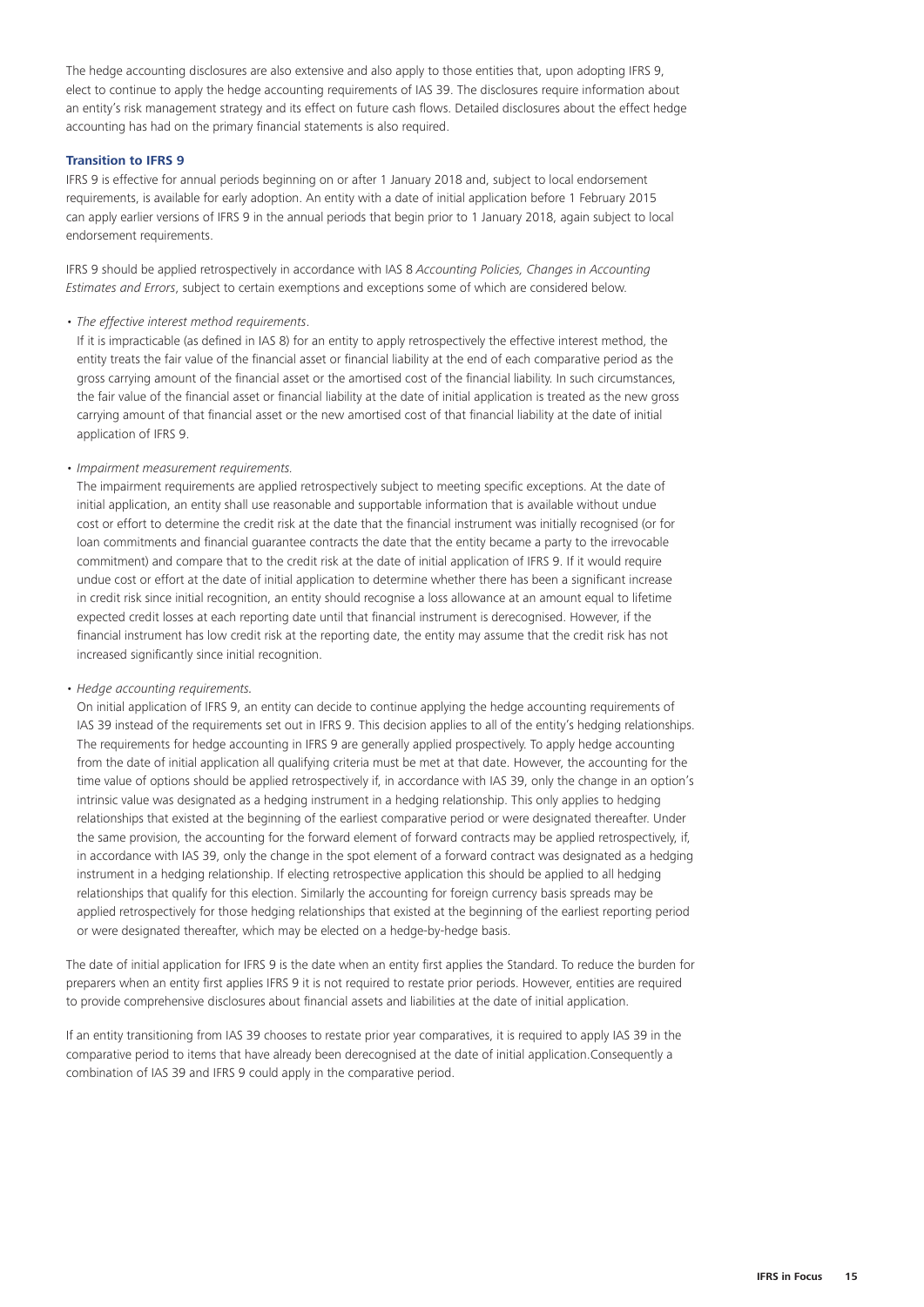The hedge accounting disclosures are also extensive and also apply to those entities that, upon adopting IFRS 9, elect to continue to apply the hedge accounting requirements of IAS 39. The disclosures require information about an entity's risk management strategy and its effect on future cash flows. Detailed disclosures about the effect hedge accounting has had on the primary financial statements is also required.

# **Transition to IFRS 9**

IFRS 9 is effective for annual periods beginning on or after 1 January 2018 and, subject to local endorsement requirements, is available for early adoption. An entity with a date of initial application before 1 February 2015 can apply earlier versions of IFRS 9 in the annual periods that begin prior to 1 January 2018, again subject to local endorsement requirements.

IFRS 9 should be applied retrospectively in accordance with IAS 8 *Accounting Policies, Changes in Accounting Estimates and Errors*, subject to certain exemptions and exceptions some of which are considered below.

# *• The effective interest method requirements*.

If it is impracticable (as defined in IAS 8) for an entity to apply retrospectively the effective interest method, the entity treats the fair value of the financial asset or financial liability at the end of each comparative period as the gross carrying amount of the financial asset or the amortised cost of the financial liability. In such circumstances, the fair value of the financial asset or financial liability at the date of initial application is treated as the new gross carrying amount of that financial asset or the new amortised cost of that financial liability at the date of initial application of IFRS 9.

#### *• Impairment measurement requirements.*

The impairment requirements are applied retrospectively subject to meeting specific exceptions. At the date of initial application, an entity shall use reasonable and supportable information that is available without undue cost or effort to determine the credit risk at the date that the financial instrument was initially recognised (or for loan commitments and financial guarantee contracts the date that the entity became a party to the irrevocable commitment) and compare that to the credit risk at the date of initial application of IFRS 9. If it would require undue cost or effort at the date of initial application to determine whether there has been a significant increase in credit risk since initial recognition, an entity should recognise a loss allowance at an amount equal to lifetime expected credit losses at each reporting date until that financial instrument is derecognised. However, if the financial instrument has low credit risk at the reporting date, the entity may assume that the credit risk has not increased significantly since initial recognition.

#### *• Hedge accounting requirements.*

On initial application of IFRS 9, an entity can decide to continue applying the hedge accounting requirements of IAS 39 instead of the requirements set out in IFRS 9. This decision applies to all of the entity's hedging relationships. The requirements for hedge accounting in IFRS 9 are generally applied prospectively. To apply hedge accounting from the date of initial application all qualifying criteria must be met at that date. However, the accounting for the time value of options should be applied retrospectively if, in accordance with IAS 39, only the change in an option's intrinsic value was designated as a hedging instrument in a hedging relationship. This only applies to hedging relationships that existed at the beginning of the earliest comparative period or were designated thereafter. Under the same provision, the accounting for the forward element of forward contracts may be applied retrospectively, if, in accordance with IAS 39, only the change in the spot element of a forward contract was designated as a hedging instrument in a hedging relationship. If electing retrospective application this should be applied to all hedging relationships that qualify for this election. Similarly the accounting for foreign currency basis spreads may be applied retrospectively for those hedging relationships that existed at the beginning of the earliest reporting period or were designated thereafter, which may be elected on a hedge-by-hedge basis.

The date of initial application for IFRS 9 is the date when an entity first applies the Standard. To reduce the burden for preparers when an entity first applies IFRS 9 it is not required to restate prior periods. However, entities are required to provide comprehensive disclosures about financial assets and liabilities at the date of initial application.

If an entity transitioning from IAS 39 chooses to restate prior year comparatives, it is required to apply IAS 39 in the comparative period to items that have already been derecognised at the date of initial application.Consequently a combination of IAS 39 and IFRS 9 could apply in the comparative period.